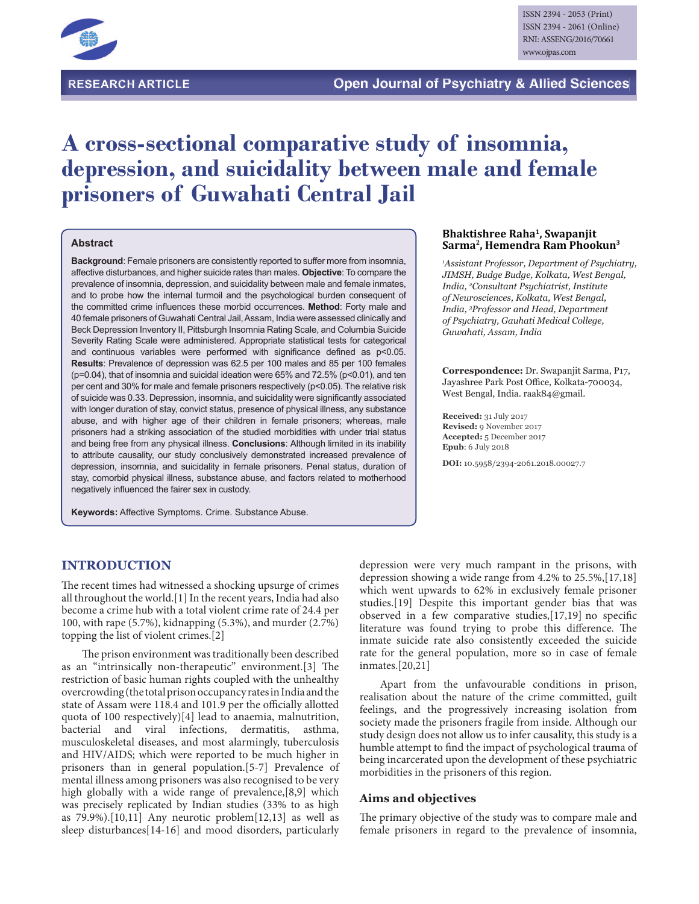

# **A cross-sectional comparative study of insomnia, depression, and suicidality between male and female prisoners of Guwahati Central Jail**

## **Abstract**

**Background**: Female prisoners are consistently reported to suffer more from insomnia, affective disturbances, and higher suicide rates than males. **Objective**: To compare the prevalence of insomnia, depression, and suicidality between male and female inmates, and to probe how the internal turmoil and the psychological burden consequent of the committed crime influences these morbid occurrences. Method: Forty male and 40 female prisoners of Guwahati Central Jail, Assam, India were assessed clinically and Beck Depression Inventory II, Pittsburgh Insomnia Rating Scale, and Columbia Suicide Severity Rating Scale were administered. Appropriate statistical tests for categorical and continuous variables were performed with significance defined as  $p<0.05$ . **Results**: Prevalence of depression was 62.5 per 100 males and 85 per 100 females (p=0.04), that of insomnia and suicidal ideation were 65% and 72.5% (p<0.01), and ten per cent and 30% for male and female prisoners respectively (p<0.05). The relative risk of suicide was 0.33. Depression, insomnia, and suicidality were significantly associated with longer duration of stay, convict status, presence of physical illness, any substance abuse, and with higher age of their children in female prisoners; whereas, male prisoners had a striking association of the studied morbidities with under trial status and being free from any physical illness. **Conclusions**: Although limited in its inability to attribute causality, our study conclusively demonstrated increased prevalence of depression, insomnia, and suicidality in female prisoners. Penal status, duration of stay, comorbid physical illness, substance abuse, and factors related to motherhood negatively influenced the fairer sex in custody.

**Keywords:** Affective Symptoms. Crime. Substance Abuse.

#### **Bhaktishree Raha<sup>1</sup> , Swapanjit Sarma<sup>2</sup> , Hemendra Ram Phookun<sup>3</sup>**

<sup>1</sup>Assistant Professor, Department of Psychiatry, JIMSH, Budge Budge, Kolkata, West Bengal, *Jndia,<sup>2</sup>Consultant Psychiatrist, Institute*  $of$ Neurosciences, Kolkata, West Bengal, *India,*<sup>3</sup>*Professor and Head, Department*  $of$  Psychiatry, Gauhati Medical College, Guwahati, Assam, India

**Correspondence:** Dr. Swapanjit Sarma, P17, Jayashree Park Post Office, Kolkata-700034, West Bengal, India. raak84@gmail.

**Received:** 31 July 2017 **Revised:** 9 November 2017 **Accepted:** 5 December 2017 **Epub**: 6 July 2018

**DOI:** 10.5958/2394-2061.2018.00027.7

## **INTRODUCTION**

The recent times had witnessed a shocking upsurge of crimes all throughout the world.[1] In the recent years, India had also become a crime hub with a total violent crime rate of 24.4 per 100, with rape (5.7%), kidnapping (5.3%), and murder (2.7%) topping the list of violent crimes.[2]

The prison environment was traditionally been described as an "intrinsically non-therapeutic" environment.[3] The restriction of basic human rights coupled with the unhealthy overcrowding (the total prison occupancy rates in India and the state of Assam were 118.4 and 101.9 per the officially allotted quota of 100 respectively)[4] lead to anaemia, malnutrition, bacterial and viral infections, dermatitis, asthma, bacterial and viral infections, dermatitis, musculoskeletal diseases, and most alarmingly, tuberculosis and HIV/AIDS; which were reported to be much higher in prisoners than in general population.[5-7] Prevalence of mental illness among prisoners was also recognised to be very high globally with a wide range of prevalence, [8,9] which was precisely replicated by Indian studies (33% to as high as  $79.9\%$ ).[10,11] Any neurotic problem[12,13] as well as sleep disturbances[14-16] and mood disorders, particularly

depression were very much rampant in the prisons, with depression showing a wide range from 4.2% to 25.5%,[17,18] which went upwards to 62% in exclusively female prisoner studies.[19] Despite this important gender bias that was observed in a few comparative studies, $[17,19]$  no specific literature was found trying to probe this difference. The inmate suicide rate also consistently exceeded the suicide rate for the general population, more so in case of female inmates.[20,21]

Apart from the unfavourable conditions in prison, realisation about the nature of the crime committed, guilt feelings, and the progressively increasing isolation from society made the prisoners fragile from inside. Although our study design does not allow us to infer causality, this study is a humble attempt to find the impact of psychological trauma of being incarcerated upon the development of these psychiatric morbidities in the prisoners of this region.

#### **Aims and objectives**

The primary objective of the study was to compare male and female prisoners in regard to the prevalence of insomnia,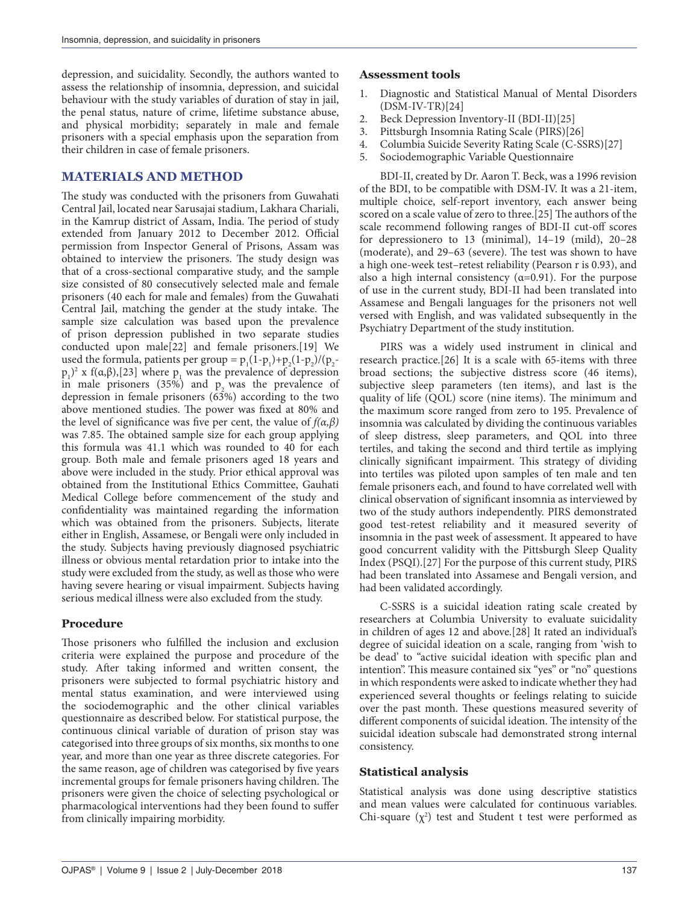depression, and suicidality. Secondly, the authors wanted to assess the relationship of insomnia, depression, and suicidal behaviour with the study variables of duration of stay in jail, the penal status, nature of crime, lifetime substance abuse, and physical morbidity; separately in male and female prisoners with a special emphasis upon the separation from their children in case of female prisoners.

## **MATERIALS AND METHOD**

The study was conducted with the prisoners from Guwahati Central Jail, located near Sarusajai stadium, Lakhara Chariali, in the Kamrup district of Assam, India. The period of study extended from January 2012 to December 2012. Official permission from Inspector General of Prisons, Assam was obtained to interview the prisoners. The study design was that of a cross-sectional comparative study, and the sample size consisted of 80 consecutively selected male and female prisoners (40 each for male and females) from the Guwahati Central Jail, matching the gender at the study intake. The sample size calculation was based upon the prevalence of prison depression published in two separate studies conducted upon male[22] and female prisoners.[19] We used the formula, patients per group =  $p_1(1-p_1)+p_2(1-p_2)/(p_2$  $p_1$ <sup>2</sup> x f(α,β),[23] where  $p_1$  was the prevalence of depression in male prisoners  $(35\%)$  and  $p$  was the prevalence of depression in female prisoners (63%) according to the two above mentioned studies. The power was fixed at 80% and the level of significance was five per cent, the value of  $f(\alpha, \beta)$ was 7.85. The obtained sample size for each group applying this formula was 41.1 which was rounded to 40 for each group. Both male and female prisoners aged 18 years and above were included in the study. Prior ethical approval was obtained from the Institutional Ethics Committee, Gauhati Medical College before commencement of the study and confidentiality was maintained regarding the information which was obtained from the prisoners. Subjects, literate either in English, Assamese, or Bengali were only included in the study. Subjects having previously diagnosed psychiatric illness or obvious mental retardation prior to intake into the study were excluded from the study, as well as those who were having severe hearing or visual impairment. Subjects having serious medical illness were also excluded from the study.

## **Procedure**

Those prisoners who fulfilled the inclusion and exclusion criteria were explained the purpose and procedure of the study. After taking informed and written consent, the prisoners were subjected to formal psychiatric history and mental status examination, and were interviewed using the sociodemographic and the other clinical variables questionnaire as described below. For statistical purpose, the continuous clinical variable of duration of prison stay was categorised into three groups of six months, six months to one year, and more than one year as three discrete categories. For the same reason, age of children was categorised by five years incremental groups for female prisoners having children. The prisoners were given the choice of selecting psychological or pharmacological interventions had they been found to suffer from clinically impairing morbidity.

#### **Assessment tools**

- 1. Diagnostic and Statistical Manual of Mental Disorders (DSM-IV-TR)[24]
- 2. Beck Depression Inventory-II (BDI-II)[25]
- 3. Pittsburgh Insomnia Rating Scale (PIRS)[26]
- 4. Columbia Suicide Severity Rating Scale (C-SSRS)[27]
- 5. Sociodemographic Variable Questionnaire

BDI-II, created by Dr. Aaron T. Beck, was a 1996 revision of the BDI, to be compatible with DSM-IV. It was a 21-item, multiple choice, self-report inventory, each answer being scored on a scale value of zero to three.[25] The authors of the scale recommend following ranges of BDI-II cut-off scores for depressionero to 13 (minimal), 14–19 (mild), 20–28 (moderate), and  $29-63$  (severe). The test was shown to have a high one-week test–retest reliability (Pearson r is 0.93), and also a high internal consistency ( $\alpha$ =0.91). For the purpose of use in the current study, BDI-II had been translated into Assamese and Bengali languages for the prisoners not well versed with English, and was validated subsequently in the Psychiatry Department of the study institution.

PIRS was a widely used instrument in clinical and research practice.[26] It is a scale with 65-items with three broad sections; the subjective distress score (46 items), subjective sleep parameters (ten items), and last is the quality of life  $(QOL)$  score (nine items). The minimum and the maximum score ranged from zero to 195. Prevalence of insomnia was calculated by dividing the continuous variables of sleep distress, sleep parameters, and QOL into three tertiles, and taking the second and third tertile as implying clinically significant impairment. This strategy of dividing into tertiles was piloted upon samples of ten male and ten female prisoners each, and found to have correlated well with clinical observation of significant insomnia as interviewed by two of the study authors independently. PIRS demonstrated good test-retest reliability and it measured severity of insomnia in the past week of assessment. It appeared to have good concurrent validity with the Pittsburgh Sleep Quality Index (PSQI).[27] For the purpose of this current study, PIRS had been translated into Assamese and Bengali version, and had been validated accordingly.

C-SSRS is a suicidal ideation rating scale created by researchers at Columbia University to evaluate suicidality in children of ages 12 and above.[28] It rated an individual's degree of suicidal ideation on a scale, ranging from 'wish to be dead' to "active suicidal ideation with specific plan and intention". This measure contained six "yes" or "no" questions in which respondents were asked to indicate whether they had experienced several thoughts or feelings relating to suicide over the past month. These questions measured severity of different components of suicidal ideation. The intensity of the suicidal ideation subscale had demonstrated strong internal consistency.

## **Statistical analysis**

Statistical analysis was done using descriptive statistics and mean values were calculated for continuous variables. Chi-square  $(\chi^2)$  test and Student t test were performed as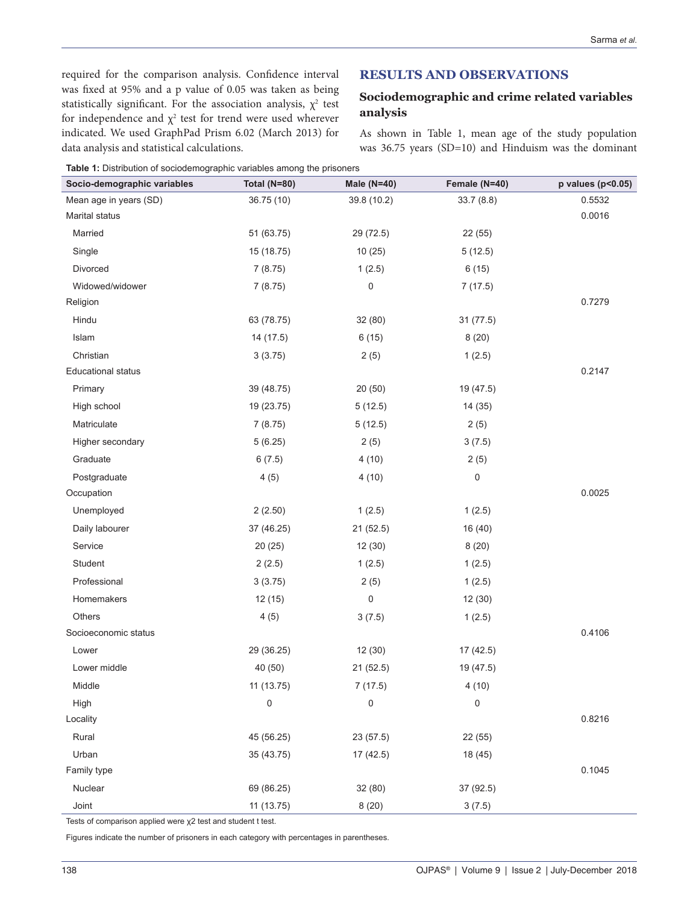required for the comparison analysis. Confidence interval was fixed at 95% and a p value of 0.05 was taken as being statistically significant. For the association analysis,  $\chi^2$  test for independence and  $\chi^2$  test for trend were used wherever indicated. We used GraphPad Prism 6.02 (March 2013) for data analysis and statistical calculations.

# **RESULTS AND OBSERVATIONS**

# **Sociodemographic and crime related variables analysis**

As shown in Table 1, mean age of the study population was 36.75 years (SD=10) and Hinduism was the dominant

|  | Table 1: Distribution of sociodemographic variables among the prisoners |
|--|-------------------------------------------------------------------------|
|  |                                                                         |

| Socio-demographic variables | Total (N=80) | Male $(N=40)$ | Female (N=40) | p values (p<0.05) |
|-----------------------------|--------------|---------------|---------------|-------------------|
| Mean age in years (SD)      | 36.75(10)    | 39.8 (10.2)   | 33.7(8.8)     | 0.5532            |
| Marital status              |              |               |               | 0.0016            |
| Married                     | 51 (63.75)   | 29 (72.5)     | 22 (55)       |                   |
| Single                      | 15 (18.75)   | 10(25)        | 5(12.5)       |                   |
| Divorced                    | 7(8.75)      | 1(2.5)        | 6(15)         |                   |
| Widowed/widower             | 7(8.75)      | 0             | 7(17.5)       |                   |
| Religion                    |              |               |               | 0.7279            |
| Hindu                       | 63 (78.75)   | 32(80)        | 31 (77.5)     |                   |
| Islam                       | 14 (17.5)    | 6(15)         | 8(20)         |                   |
| Christian                   | 3(3.75)      | 2(5)          | 1(2.5)        |                   |
| <b>Educational status</b>   |              |               |               | 0.2147            |
| Primary                     | 39 (48.75)   | 20(50)        | 19 (47.5)     |                   |
| High school                 | 19 (23.75)   | 5(12.5)       | 14 (35)       |                   |
| Matriculate                 | 7(8.75)      | 5(12.5)       | 2(5)          |                   |
| Higher secondary            | 5(6.25)      | 2(5)          | 3(7.5)        |                   |
| Graduate                    | 6(7.5)       | 4(10)         | 2(5)          |                   |
| Postgraduate                | 4(5)         | 4(10)         | $\pmb{0}$     |                   |
| Occupation                  |              |               |               | 0.0025            |
| Unemployed                  | 2(2.50)      | 1(2.5)        | 1(2.5)        |                   |
| Daily labourer              | 37 (46.25)   | 21 (52.5)     | 16 (40)       |                   |
| Service                     | 20(25)       | 12(30)        | 8(20)         |                   |
| Student                     | 2(2.5)       | 1(2.5)        | 1(2.5)        |                   |
| Professional                | 3(3.75)      | 2(5)          | 1(2.5)        |                   |
| Homemakers                  | 12(15)       | 0             | 12 (30)       |                   |
| <b>Others</b>               | 4(5)         | 3(7.5)        | 1(2.5)        |                   |
| Socioeconomic status        |              |               |               | 0.4106            |
| Lower                       | 29 (36.25)   | 12(30)        | 17 (42.5)     |                   |
| Lower middle                | 40 (50)      | 21(52.5)      | 19 (47.5)     |                   |
| Middle                      | 11 (13.75)   | 7(17.5)       | 4(10)         |                   |
| High                        | 0            | 0             | 0             |                   |
| Locality                    |              |               |               | 0.8216            |
| Rural                       | 45 (56.25)   | 23 (57.5)     | 22 (55)       |                   |
| Urban                       | 35 (43.75)   | 17 (42.5)     | 18 (45)       |                   |
| Family type                 |              |               |               | 0.1045            |
| Nuclear                     | 69 (86.25)   | 32 (80)       | 37 (92.5)     |                   |
| Joint                       | 11 (13.75)   | 8(20)         | 3(7.5)        |                   |

Tests of comparison applied were  $\chi$ 2 test and student t test.

Figures indicate the number of prisoners in each category with percentages in parentheses.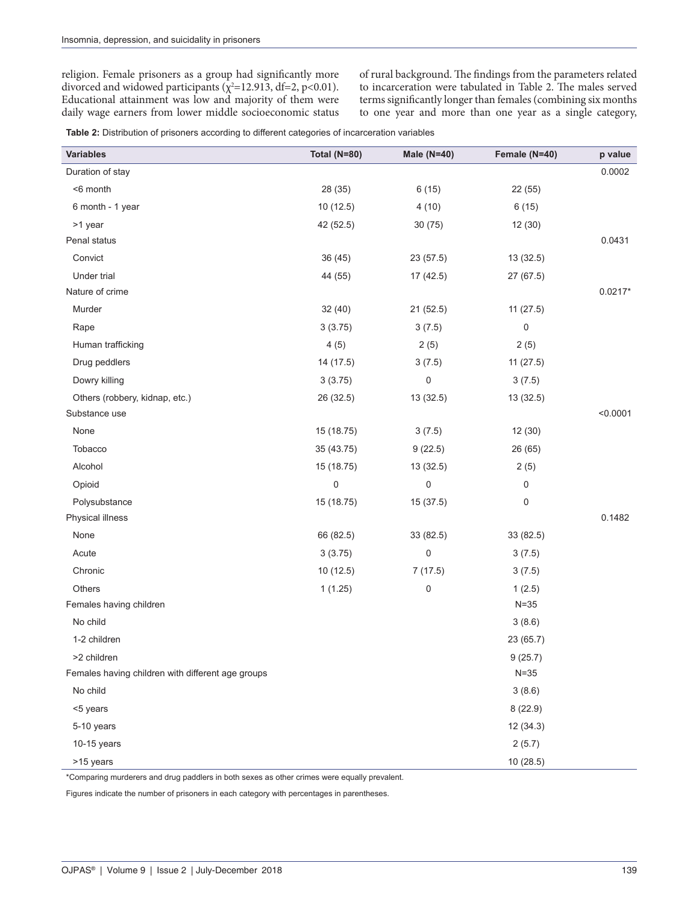religion. Female prisoners as a group had significantly more divorced and widowed participants ( $\chi^2$ =12.913, df=2, p<0.01). Educational attainment was low and majority of them were daily wage earners from lower middle socioeconomic status of rural background. The findings from the parameters related to incarceration were tabulated in Table 2. The males served terms significantly longer than females (combining six months to one year and more than one year as a single category,

**Table 2:** Distribution of prisoners according to different categories of incarceration variables

| <b>Variables</b>                                  | <b>Total (N=80)</b> | <b>Male (N=40)</b> | Female (N=40) | p value   |
|---------------------------------------------------|---------------------|--------------------|---------------|-----------|
| Duration of stay                                  |                     |                    |               | 0.0002    |
| <6 month                                          | 28 (35)             | 6(15)              | 22 (55)       |           |
| 6 month - 1 year                                  | 10(12.5)            | 4(10)              | 6(15)         |           |
| >1 year                                           | 42 (52.5)           | 30(75)             | 12 (30)       |           |
| Penal status                                      |                     |                    |               | 0.0431    |
| Convict                                           | 36 (45)             | 23 (57.5)          | 13 (32.5)     |           |
| Under trial                                       | 44 (55)             | 17 (42.5)          | 27 (67.5)     |           |
| Nature of crime                                   |                     |                    |               | $0.0217*$ |
| Murder                                            | 32 (40)             | 21 (52.5)          | 11(27.5)      |           |
| Rape                                              | 3(3.75)             | 3(7.5)             | 0             |           |
| Human trafficking                                 | 4(5)                | 2(5)               | 2(5)          |           |
| Drug peddlers                                     | 14 (17.5)           | 3(7.5)             | 11(27.5)      |           |
| Dowry killing                                     | 3(3.75)             | 0                  | 3(7.5)        |           |
| Others (robbery, kidnap, etc.)                    | 26 (32.5)           | 13 (32.5)          | 13 (32.5)     |           |
| Substance use                                     |                     |                    |               | < 0.0001  |
| None                                              | 15 (18.75)          | 3(7.5)             | 12 (30)       |           |
| Tobacco                                           | 35 (43.75)          | 9(22.5)            | 26 (65)       |           |
| Alcohol                                           | 15 (18.75)          | 13 (32.5)          | 2(5)          |           |
| Opioid                                            | 0                   | 0                  | 0             |           |
| Polysubstance                                     | 15 (18.75)          | 15 (37.5)          | 0             |           |
| Physical illness                                  |                     |                    |               | 0.1482    |
| None                                              | 66 (82.5)           | 33 (82.5)          | 33 (82.5)     |           |
| Acute                                             | 3(3.75)             | 0                  | 3(7.5)        |           |
| Chronic                                           | 10(12.5)            | 7(17.5)            | 3(7.5)        |           |
| <b>Others</b>                                     | 1(1.25)             | 0                  | 1(2.5)        |           |
| Females having children                           |                     |                    | $N = 35$      |           |
| No child                                          |                     |                    | 3(8.6)        |           |
| 1-2 children                                      |                     |                    | 23 (65.7)     |           |
| >2 children                                       |                     |                    | 9(25.7)       |           |
| Females having children with different age groups |                     |                    | $N = 35$      |           |
| No child                                          |                     |                    | 3(8.6)        |           |
| <5 years                                          |                     |                    | 8(22.9)       |           |
| 5-10 years                                        |                     |                    | 12 (34.3)     |           |
| $10-15$ years                                     |                     |                    | 2(5.7)        |           |
| >15 years                                         |                     |                    | 10 (28.5)     |           |

\*Comparing murderers and drug paddlers in both sexes as other crimes were equally prevalent.

Figures indicate the number of prisoners in each category with percentages in parentheses.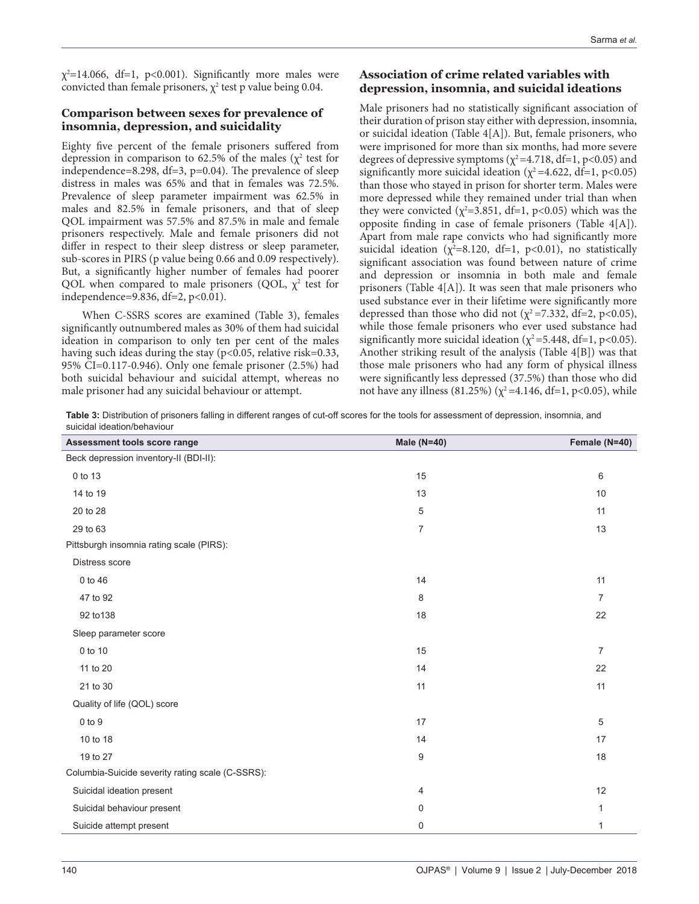$\chi^2$ =14.066, df=1, p<0.001). Significantly more males were convicted than female prisoners,  $\chi^2$  test p value being 0.04.

## **Comparison between sexes for prevalence of insomnia, depression, and suicidality**

Eighty five percent of the female prisoners suffered from depression in comparison to 62.5% of the males ( $\chi^2$  test for independence=8.298, df=3,  $p=0.04$ ). The prevalence of sleep distress in males was 65% and that in females was 72.5%. Prevalence of sleep parameter impairment was 62.5% in males and 82.5% in female prisoners, and that of sleep QOL impairment was 57.5% and 87.5% in male and female prisoners respectively. Male and female prisoners did not differ in respect to their sleep distress or sleep parameter, sub-scores in PIRS (p value being 0.66 and 0.09 respectively). But, a signicantly higher number of females had poorer QOL when compared to male prisoners (QOL,  $\chi^2$  test for independence=9.836, df=2, p<0.01).

When C-SSRS scores are examined (Table 3), females significantly outnumbered males as 30% of them had suicidal ideation in comparison to only ten per cent of the males having such ideas during the stay (p<0.05, relative risk=0.33, 95% CI=0.117-0.946). Only one female prisoner (2.5%) had both suicidal behaviour and suicidal attempt, whereas no male prisoner had any suicidal behaviour or attempt.

# **Association of crime related variables with depression, insomnia, and suicidal ideations**

Male prisoners had no statistically significant association of their duration of prison stay either with depression, insomnia, or suicidal ideation (Table 4[A]). But, female prisoners, who were imprisoned for more than six months, had more severe degrees of depressive symptoms ( $\chi^2$ =4.718, df=1, p<0.05) and significantly more suicidal ideation ( $\chi^2$ =4.622, df=1, p<0.05) than those who stayed in prison for shorter term. Males were more depressed while they remained under trial than when they were convicted ( $\chi^2$ =3.851, df=1, p<0.05) which was the opposite finding in case of female prisoners (Table  $4[A]$ ). Apart from male rape convicts who had significantly more suicidal ideation ( $\chi^2$ =8.120, df=1, p<0.01), no statistically significant association was found between nature of crime and depression or insomnia in both male and female prisoners (Table 4[A]). It was seen that male prisoners who used substance ever in their lifetime were signicantly more depressed than those who did not ( $\chi^2$ =7.332, df=2, p<0.05), while those female prisoners who ever used substance had significantly more suicidal ideation ( $\chi^2$ =5.448, df=1, p<0.05). Another striking result of the analysis (Table 4[B]) was that those male prisoners who had any form of physical illness were significantly less depressed (37.5%) than those who did not have any illness (81.25%) ( $\chi^2$ =4.146, df=1, p<0.05), while

**Table 3:** Distribution of prisoners falling in different ranges of cut-off scores for the tools for assessment of depression, insomnia, and suicidal ideation/behaviour

| Assessment tools score range                     | Male (N=40)    | Female (N=40)  |  |  |  |
|--------------------------------------------------|----------------|----------------|--|--|--|
| Beck depression inventory-II (BDI-II):           |                |                |  |  |  |
| 0 to 13                                          | 15             | 6              |  |  |  |
| 14 to 19                                         | 13             | 10             |  |  |  |
| 20 to 28                                         | 5              | 11             |  |  |  |
| 29 to 63                                         | $\overline{7}$ | 13             |  |  |  |
| Pittsburgh insomnia rating scale (PIRS):         |                |                |  |  |  |
| Distress score                                   |                |                |  |  |  |
| 0 to 46                                          | 14             | 11             |  |  |  |
| 47 to 92                                         | 8              | $\overline{7}$ |  |  |  |
| 92 to 138                                        | 18             | 22             |  |  |  |
| Sleep parameter score                            |                |                |  |  |  |
| 0 to 10                                          | 15             | $\overline{7}$ |  |  |  |
| 11 to 20                                         | 14             | 22             |  |  |  |
| 21 to 30                                         | 11             | 11             |  |  |  |
| Quality of life (QOL) score                      |                |                |  |  |  |
| 0 to 9                                           | 17             | 5              |  |  |  |
| 10 to 18                                         | 14             | 17             |  |  |  |
| 19 to 27                                         | 9              | 18             |  |  |  |
| Columbia-Suicide severity rating scale (C-SSRS): |                |                |  |  |  |
| Suicidal ideation present                        | 4              | 12             |  |  |  |
| Suicidal behaviour present                       | 0              | 1              |  |  |  |
| Suicide attempt present                          | 0              | 1              |  |  |  |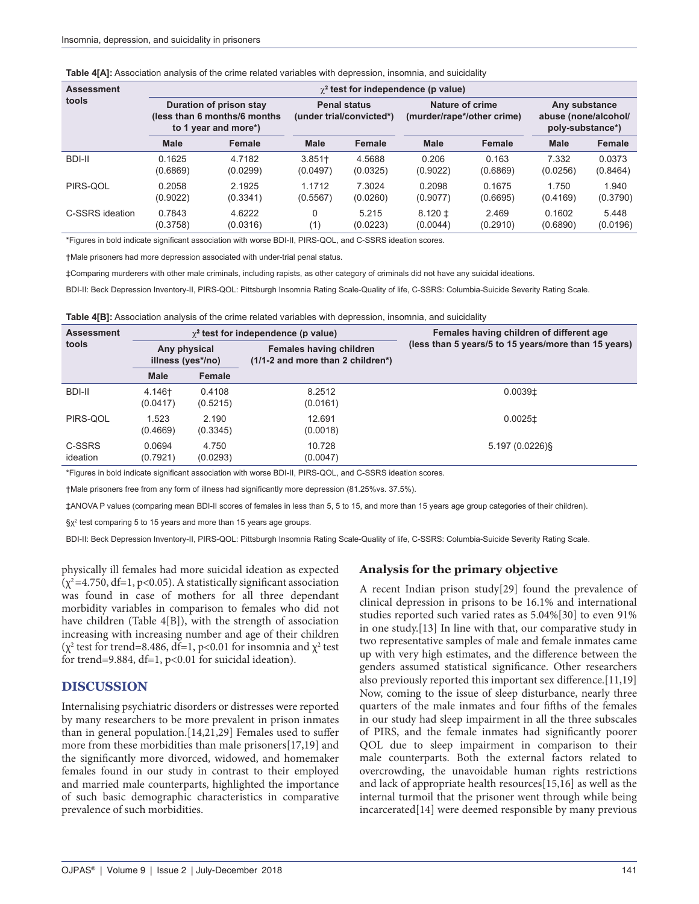| <b>Assessment</b> | $\chi^2$ test for independence (p value)                                         |          |                                                 |          |                                               |          |                                                           |          |
|-------------------|----------------------------------------------------------------------------------|----------|-------------------------------------------------|----------|-----------------------------------------------|----------|-----------------------------------------------------------|----------|
| tools             | Duration of prison stay<br>(less than 6 months/6 months)<br>to 1 year and more*) |          | <b>Penal status</b><br>(under trial/convicted*) |          | Nature of crime<br>(murder/rape*/other crime) |          | Any substance<br>abuse (none/alcohol/<br>poly-substance*) |          |
|                   | <b>Male</b>                                                                      | Female   | <b>Male</b>                                     | Female   | <b>Male</b>                                   | Female   | Male                                                      | Female   |
| BDI-II            | 0.1625                                                                           | 4.7182   | $3.851 +$                                       | 4.5688   | 0.206                                         | 0.163    | 7.332                                                     | 0.0373   |
|                   | (0.6869)                                                                         | (0.0299) | (0.0497)                                        | (0.0325) | (0.9022)                                      | (0.6869) | (0.0256)                                                  | (0.8464) |
| PIRS-QOL          | 0.2058                                                                           | 2.1925   | 1.1712                                          | 7.3024   | 0.2098                                        | 0.1675   | 1.750                                                     | 1.940    |
|                   | (0.9022)                                                                         | (0.3341) | (0.5567)                                        | (0.0260) | (0.9077)                                      | (0.6695) | (0.4169)                                                  | (0.3790) |
| C-SSRS ideation   | 0.7843                                                                           | 4.6222   | 0                                               | 5.215    | $8.120 \pm$                                   | 2.469    | 0.1602                                                    | 5.448    |
|                   | (0.3758)                                                                         | (0.0316) | (1)                                             | (0.0223) | (0.0044)                                      | (0.2910) | (0.6890)                                                  | (0.0196) |

**Table 4[A]:** Association analysis of the crime related variables with depression, insomnia, and suicidality

\*Figures in bold indicate significant association with worse BDI-II, PIRS-QOL, and C-SSRS ideation scores.

†Male prisoners had more depression associated with under-trial penal status.

‡Comparing murderers with other male criminals, including rapists, as other category of criminals did not have any suicidal ideations.

BDI-II: Beck Depression Inventory-II, PIRS-QOL: Pittsburgh Insomnia Rating Scale-Quality of life, C-SSRS: Columbia-Suicide Severity Rating Scale.

**Table 4[B]:** Association analysis of the crime related variables with depression, insomnia, and suicidality

| <b>Assessment</b>  |                                   |                    | $\chi^2$ test for independence (p value)                            | Females having children of different age             |  |  |
|--------------------|-----------------------------------|--------------------|---------------------------------------------------------------------|------------------------------------------------------|--|--|
| tools              | Any physical<br>illness (yes*/no) |                    | <b>Females having children</b><br>(1/1-2 and more than 2 children*) | (less than 5 years/5 to 15 years/more than 15 years) |  |  |
|                    | <b>Male</b>                       | Female             |                                                                     |                                                      |  |  |
| BDI-II             | 4.146†<br>(0.0417)                | 0.4108<br>(0.5215) | 8.2512<br>(0.0161)                                                  | $0.0039$ <sup>±</sup>                                |  |  |
| PIRS-QOL           | 1.523<br>(0.4669)                 | 2.190<br>(0.3345)  | 12.691<br>(0.0018)                                                  | $0.0025$ <sup>±</sup>                                |  |  |
| C-SSRS<br>ideation | 0.0694<br>(0.7921)                | 4.750<br>(0.0293)  | 10.728<br>(0.0047)                                                  | 5.197(0.0226)                                        |  |  |

\*Figures in bold indicate significant association with worse BDI-II, PIRS-QOL, and C-SSRS ideation scores.

†Male prisoners free from any form of illness had significantly more depression (81.25% vs. 37.5%).

‡ANOVA P values (comparing mean BDI-II scores of females in less than 5, 5 to 15, and more than 15 years age group categories of their children).

 $\Sx^2$  test comparing 5 to 15 years and more than 15 years age groups.

BDI-II: Beck Depression Inventory-II, PIRS-QOL: Pittsburgh Insomnia Rating Scale-Quality of life, C-SSRS: Columbia-Suicide Severity Rating Scale.

physically ill females had more suicidal ideation as expected  $(\chi^2=4.750, df=1, p<0.05)$ . A statistically significant association was found in case of mothers for all three dependant morbidity variables in comparison to females who did not have children (Table 4[B]), with the strength of association increasing with increasing number and age of their children ( $\chi^2$  test for trend=8.486, df=1, p<0.01 for insomnia and  $\chi^2$  test for trend=9.884, df=1, p<0.01 for suicidal ideation).

## **DISCUSSION**

Internalising psychiatric disorders or distresses were reported by many researchers to be more prevalent in prison inmates than in general population.[14,21,29] Females used to suffer more from these morbidities than male prisoners[17,19] and the significantly more divorced, widowed, and homemaker females found in our study in contrast to their employed and married male counterparts, highlighted the importance of such basic demographic characteristics in comparative prevalence of such morbidities.

## **Analysis for the primary objective**

A recent Indian prison study[29] found the prevalence of clinical depression in prisons to be 16.1% and international studies reported such varied rates as 5.04%[30] to even 91% in one study.[13] In line with that, our comparative study in two representative samples of male and female inmates came up with very high estimates, and the difference between the genders assumed statistical significance. Other researchers also previously reported this important sex difference. $[11,19]$ Now, coming to the issue of sleep disturbance, nearly three quarters of the male inmates and four fifths of the females in our study had sleep impairment in all the three subscales of PIRS, and the female inmates had signicantly poorer QOL due to sleep impairment in comparison to their male counterparts. Both the external factors related to overcrowding, the unavoidable human rights restrictions and lack of appropriate health resources[15,16] as well as the internal turmoil that the prisoner went through while being incarcerated[14] were deemed responsible by many previous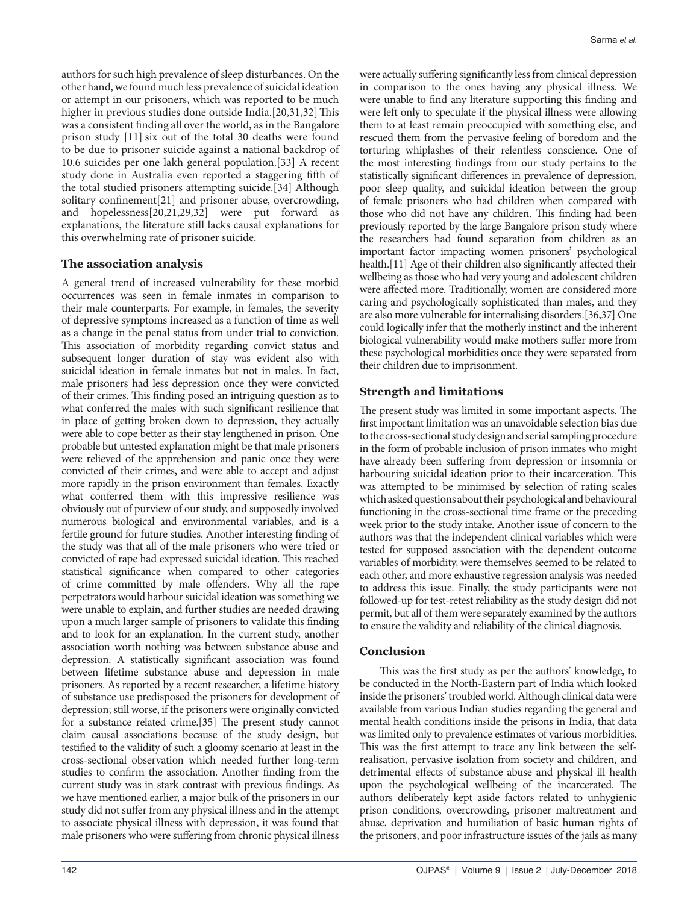authors for such high prevalence of sleep disturbances. On the other hand, we found much less prevalence of suicidal ideation or attempt in our prisoners, which was reported to be much higher in previous studies done outside India.[20,31,32] This was a consistent finding all over the world, as in the Bangalore prison study [11] six out of the total 30 deaths were found to be due to prisoner suicide against a national backdrop of 10.6 suicides per one lakh general population.[33] A recent study done in Australia even reported a staggering fifth of the total studied prisoners attempting suicide.[34] Although solitary confinement[21] and prisoner abuse, overcrowding, and hopelessness[20,21,29,32] were put forward as explanations, the literature still lacks causal explanations for this overwhelming rate of prisoner suicide.

## **The association analysis**

A general trend of increased vulnerability for these morbid occurrences was seen in female inmates in comparison to their male counterparts. For example, in females, the severity of depressive symptoms increased as a function of time as well as a change in the penal status from under trial to conviction. This association of morbidity regarding convict status and subsequent longer duration of stay was evident also with suicidal ideation in female inmates but not in males. In fact, male prisoners had less depression once they were convicted of their crimes. This finding posed an intriguing question as to what conferred the males with such significant resilience that in place of getting broken down to depression, they actually were able to cope better as their stay lengthened in prison. One probable but untested explanation might be that male prisoners were relieved of the apprehension and panic once they were convicted of their crimes, and were able to accept and adjust more rapidly in the prison environment than females. Exactly what conferred them with this impressive resilience was obviously out of purview of our study, and supposedly involved numerous biological and environmental variables, and is a fertile ground for future studies. Another interesting finding of the study was that all of the male prisoners who were tried or convicted of rape had expressed suicidal ideation. This reached statistical significance when compared to other categories of crime committed by male offenders. Why all the rape perpetrators would harbour suicidal ideation was something we were unable to explain, and further studies are needed drawing upon a much larger sample of prisoners to validate this finding and to look for an explanation. In the current study, another association worth nothing was between substance abuse and depression. A statistically significant association was found between lifetime substance abuse and depression in male prisoners. As reported by a recent researcher, a lifetime history of substance use predisposed the prisoners for development of depression; still worse, if the prisoners were originally convicted for a substance related crime.[35] The present study cannot claim causal associations because of the study design, but testified to the validity of such a gloomy scenario at least in the cross-sectional observation which needed further long-term studies to confirm the association. Another finding from the current study was in stark contrast with previous findings. As we have mentioned earlier, a major bulk of the prisoners in our study did not suffer from any physical illness and in the attempt to associate physical illness with depression, it was found that male prisoners who were suffering from chronic physical illness

were actually suffering significantly less from clinical depression in comparison to the ones having any physical illness. We were unable to find any literature supporting this finding and were left only to speculate if the physical illness were allowing them to at least remain preoccupied with something else, and rescued them from the pervasive feeling of boredom and the torturing whiplashes of their relentless conscience. One of the most interesting findings from our study pertains to the statistically significant differences in prevalence of depression, poor sleep quality, and suicidal ideation between the group of female prisoners who had children when compared with those who did not have any children. This finding had been previously reported by the large Bangalore prison study where the researchers had found separation from children as an important factor impacting women prisoners' psychological health.[11] Age of their children also significantly affected their wellbeing as those who had very young and adolescent children were affected more. Traditionally, women are considered more caring and psychologically sophisticated than males, and they are also more vulnerable for internalising disorders.[36,37] One could logically infer that the motherly instinct and the inherent biological vulnerability would make mothers suffer more from these psychological morbidities once they were separated from their children due to imprisonment.

## **Strength and limitations**

The present study was limited in some important aspects. The first important limitation was an unavoidable selection bias due to the cross-sectional study design and serial sampling procedure in the form of probable inclusion of prison inmates who might have already been suffering from depression or insomnia or harbouring suicidal ideation prior to their incarceration. This was attempted to be minimised by selection of rating scales which asked questions about their psychological and behavioural functioning in the cross-sectional time frame or the preceding week prior to the study intake. Another issue of concern to the authors was that the independent clinical variables which were tested for supposed association with the dependent outcome variables of morbidity, were themselves seemed to be related to each other, and more exhaustive regression analysis was needed to address this issue. Finally, the study participants were not followed-up for test-retest reliability as the study design did not permit, but all of them were separately examined by the authors to ensure the validity and reliability of the clinical diagnosis.

# **Conclusion**

This was the first study as per the authors' knowledge, to be conducted in the North-Eastern part of India which looked inside the prisoners' troubled world. Although clinical data were available from various Indian studies regarding the general and mental health conditions inside the prisons in India, that data was limited only to prevalence estimates of various morbidities. This was the first attempt to trace any link between the selfrealisation, pervasive isolation from society and children, and detrimental effects of substance abuse and physical ill health upon the psychological wellbeing of the incarcerated. The authors deliberately kept aside factors related to unhygienic prison conditions, overcrowding, prisoner maltreatment and abuse, deprivation and humiliation of basic human rights of the prisoners, and poor infrastructure issues of the jails as many